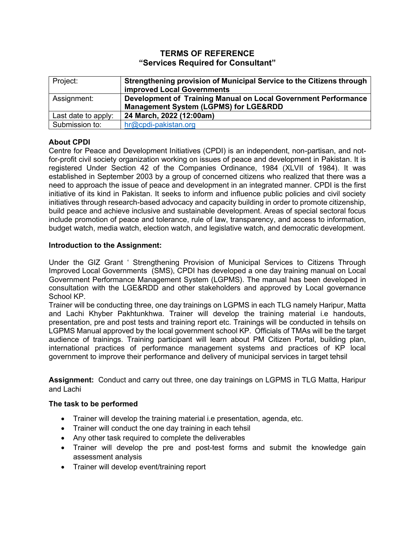# **TERMS OF REFERENCE "Services Required for Consultant"**

| Project:            | Strengthening provision of Municipal Service to the Citizens through<br><b>improved Local Governments</b>          |
|---------------------|--------------------------------------------------------------------------------------------------------------------|
| Assignment:         | Development of Training Manual on Local Government Performance<br><b>Management System (LGPMS) for LGE&amp;RDD</b> |
| Last date to apply: | 24 March, 2022 (12:00am)                                                                                           |
| Submission to:      | hr@cpdi-pakistan.org                                                                                               |

## **About CPDI**

Centre for Peace and Development Initiatives (CPDI) is an independent, non-partisan, and notfor-profit civil society organization working on issues of peace and development in Pakistan. It is registered Under Section 42 of the Companies Ordinance, 1984 (XLVII of 1984). It was established in September 2003 by a group of concerned citizens who realized that there was a need to approach the issue of peace and development in an integrated manner. CPDI is the first initiative of its kind in Pakistan. It seeks to inform and influence public policies and civil society initiatives through research-based advocacy and capacity building in order to promote citizenship, build peace and achieve inclusive and sustainable development. Areas of special sectoral focus include promotion of peace and tolerance, rule of law, transparency, and access to information, budget watch, media watch, election watch, and legislative watch, and democratic development.

#### **Introduction to the Assignment:**

Under the GIZ Grant ' Strengthening Provision of Municipal Services to Citizens Through Improved Local Governments (SMS), CPDI has developed a one day training manual on Local Government Performance Management System (LGPMS). The manual has been developed in consultation with the LGE&RDD and other stakeholders and approved by Local governance School KP.

Trainer will be conducting three, one day trainings on LGPMS in each TLG namely Haripur, Matta and Lachi Khyber Pakhtunkhwa. Trainer will develop the training material i.e handouts, presentation, pre and post tests and training report etc. Trainings will be conducted in tehsils on LGPMS Manual approved by the local government school KP. Officials of TMAs will be the target audience of trainings. Training participant will learn about PM Citizen Portal, building plan, international practices of performance management systems and practices of KP local government to improve their performance and delivery of municipal services in target tehsil

**Assignment:** Conduct and carry out three, one day trainings on LGPMS in TLG Matta, Haripur and Lachi

#### **The task to be performed**

- Trainer will develop the training material i.e presentation, agenda, etc.
- Trainer will conduct the one day training in each tehsil
- Any other task required to complete the deliverables
- Trainer will develop the pre and post-test forms and submit the knowledge gain assessment analysis
- Trainer will develop event/training report